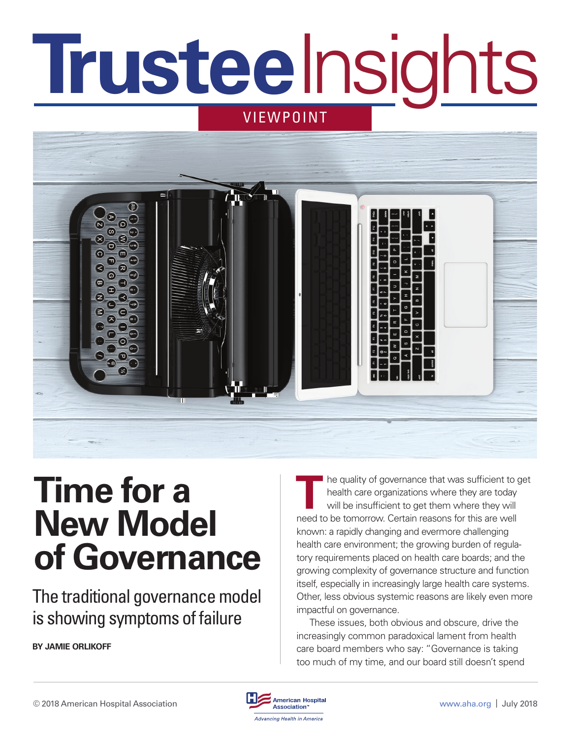# **VIEWPOINT Trustee**Insights



# **Time for a New Model of Governance**

The traditional governance model is showing symptoms of failure

**BY JAMIE ORLIKOFF** 

THE THE quality of governance that was sufficient to get<br>
The quality of governance that was sufficient to get<br>
The mass will be insufficient to get them where they will<br>
The star world and the beginning of the star will health care organizations where they are today will be insufficient to get them where they will need to be tomorrow. Certain reasons for this are well known: a rapidly changing and evermore challenging health care environment; the growing burden of regulatory requirements placed on health care boards; and the growing complexity of governance structure and function itself, especially in increasingly large health care systems. Other, less obvious systemic reasons are likely even more impactful on governance.

These issues, both obvious and obscure, drive the increasingly common paradoxical lament from health care board members who say: "Governance is taking too much of my time, and our board still doesn't spend

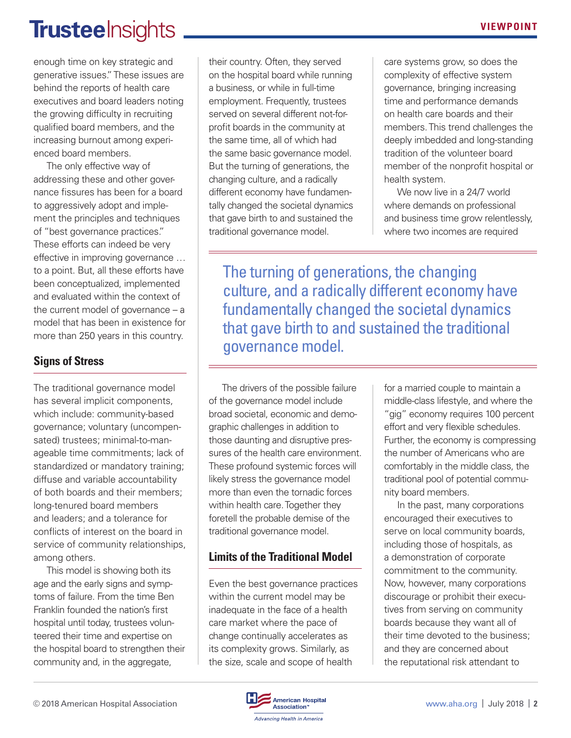## TrusteeInsights **No. 2018** VIEWPOINT

enough time on key strategic and generative issues." These issues are behind the reports of health care executives and board leaders noting the growing difficulty in recruiting qualified board members, and the increasing burnout among experienced board members.

The only effective way of addressing these and other governance fissures has been for a board to aggressively adopt and implement the principles and techniques of "best governance practices." These efforts can indeed be very effective in improving governance … to a point. But, all these efforts have been conceptualized, implemented and evaluated within the context of the current model of governance – a model that has been in existence for more than 250 years in this country.

#### **Signs of Stress**

The traditional governance model has several implicit components, which include: community-based governance; voluntary (uncompensated) trustees; minimal-to-manageable time commitments; lack of standardized or mandatory training; diffuse and variable accountability of both boards and their members; long-tenured board members and leaders; and a tolerance for conflicts of interest on the board in service of community relationships, among others.

This model is showing both its age and the early signs and symptoms of failure. From the time Ben Franklin founded the nation's first hospital until today, trustees volunteered their time and expertise on the hospital board to strengthen their community and, in the aggregate,

their country. Often, they served on the hospital board while running a business, or while in full-time employment. Frequently, trustees served on several different not-forprofit boards in the community at the same time, all of which had the same basic governance model. But the turning of generations, the changing culture, and a radically different economy have fundamentally changed the societal dynamics that gave birth to and sustained the traditional governance model.

care systems grow, so does the complexity of effective system governance, bringing increasing time and performance demands on health care boards and their members. This trend challenges the deeply imbedded and long-standing tradition of the volunteer board member of the nonprofit hospital or health system.

We now live in a 24/7 world where demands on professional and business time grow relentlessly, where two incomes are required

The turning of generations, the changing culture, and a radically different economy have fundamentally changed the societal dynamics that gave birth to and sustained the traditional governance model.

The drivers of the possible failure of the governance model include broad societal, economic and demographic challenges in addition to those daunting and disruptive pressures of the health care environment. These profound systemic forces will likely stress the governance model more than even the tornadic forces within health care. Together they foretell the probable demise of the traditional governance model.

#### **Limits of the Traditional Model**

Even the best governance practices within the current model may be inadequate in the face of a health care market where the pace of change continually accelerates as its complexity grows. Similarly, as the size, scale and scope of health

for a married couple to maintain a middle-class lifestyle, and where the "gig" economy requires 100 percent effort and very flexible schedules. Further, the economy is compressing the number of Americans who are comfortably in the middle class, the traditional pool of potential community board members.

In the past, many corporations encouraged their executives to serve on local community boards, including those of hospitals, as a demonstration of corporate commitment to the community. Now, however, many corporations discourage or prohibit their executives from serving on community boards because they want all of their time devoted to the business; and they are concerned about the reputational risk attendant to